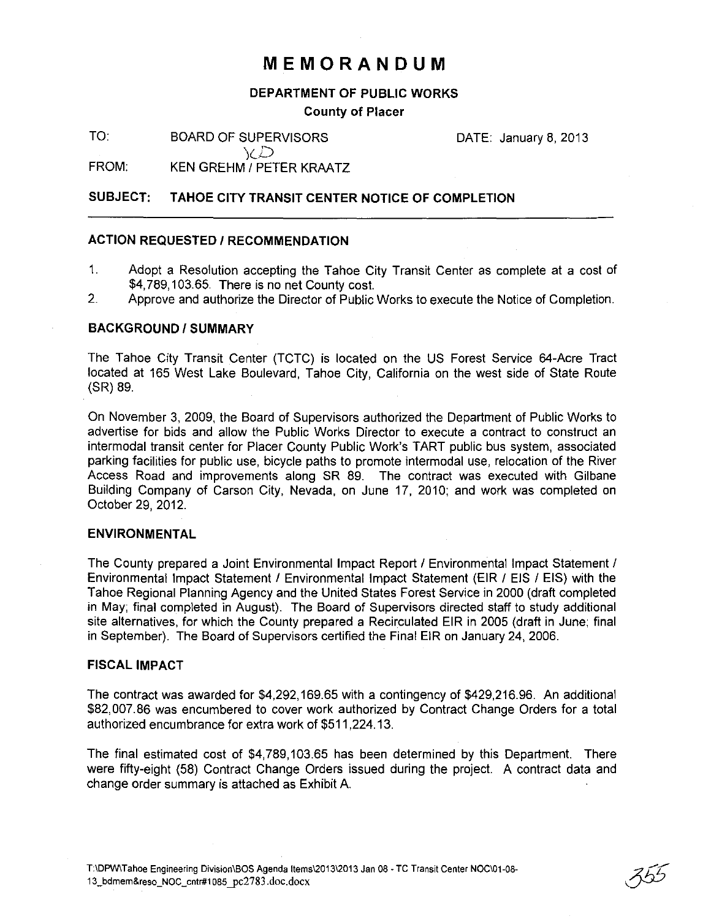## **MEMORANDUM**

#### **DEPARTMENT OF PUBLIC WORKS**

#### **County of Placer**

TO: BOARD OF SUPERVISORS

DATE: January 8, 2013

FROM: KEN GREHM / PETER KRAATZ

jcD

#### **SUBJECT: TAHOE CITY TRANSIT CENTER NOTICE OF COMPLETION**

#### **ACTION REQUESTED / RECOMMENDATION**

- 1. Adopt a Resolution accepting the Tahoe City Transit Center as complete at a cost of \$4,789,103.65. There is no net County cost.
- 2. Approve and authorize the Director of Public Works to execute the Notice of Completion.

#### **BACKGROUND/SUMMARY**

The Tahoe City Transit Center (TCTC) is located on the US Forest Service 64-Acre Tract located at 165 West Lake Boulevard, Tahoe City, California on the west side of State Route (SR) 89.

On November 3, 2009, the Board of Supervisors authorized the Department of Public Works to advertise for bids and allow the Public Works Director to execute a contract to construct an intermodal transit center for Placer County Public Work's TART public bus system, associated parking facilities for public use, bicycle paths to promote intermodal use, relocation of the River Access Road and improvements along SR 89. The contract was executed with Gilbane Building Company of Carson City, Nevada, on June 17, 2010; and work was completed on October 29, 2012.

#### **ENVIRONMENTAL**

The County prepared a Joint Environmental Impact Report / Environmental Impact Statement / Environmental Impact Statement / Environmental Impact Statement (EIR / EIS / EIS) with the Tahoe Regional Planning Agency and the United States Forest Service in 2000 (draft completed in May; final completed in August). The Board of Supervisors directed staff to study additional site alternatives, for which the County prepared a Recirculated EIR in 2005 (draft in June; final in September). The Board of Supervisors certified the Final EIR on January 24, 2006.

#### **FISCAL IMPACT**

The contract was awarded for \$4,292,169.65 with a contingency of \$429,216.96. An additional \$82,007.86 was encumbered to cover work authorized by Contract Change Orders for a total authorized encumbrance for extra work of \$511 ,224.13.

The final estimated cost of \$4,789,103.65 has been determined by this Department. There were fifty-eight (58) Contract Change Orders issued during the project. A contract data and change order summary is attached as Exhibit A.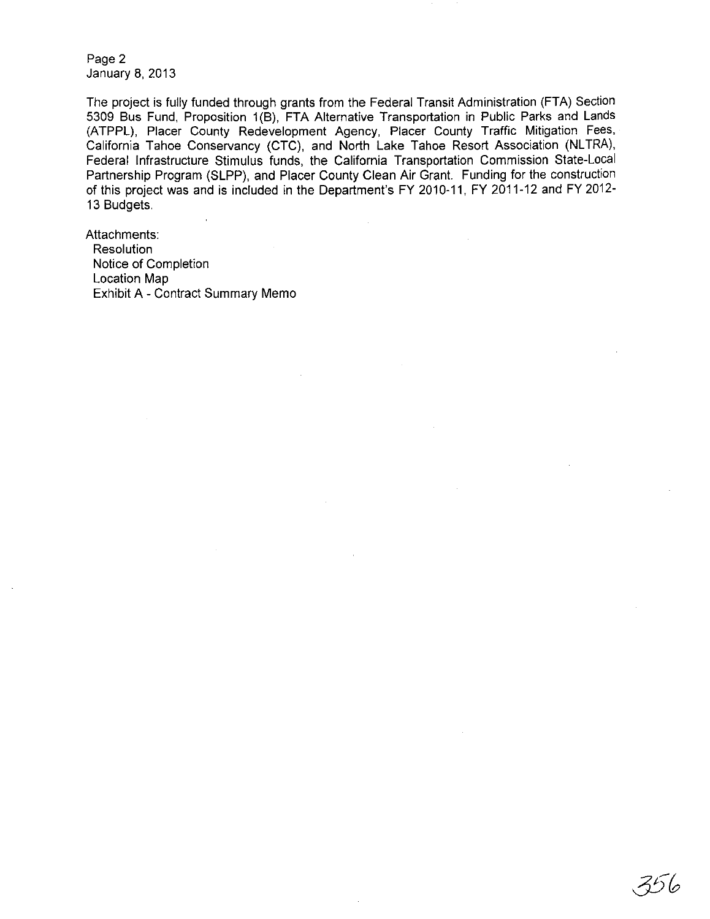Page 2 January 8, 2013

The project is fully funded through grants from the Federal Transit Administration (FTA) Section 5309 Bus Fund, Proposition 1 (B), FTA Alternative Transportation in Public Parks and Lands (ATPPL), Placer County Redevelopment Agency, Placer County Traffic Mitigation Fees, California Tahoe Conservancy (CTC), and North Lake Tahoe Resort Association (NLTRA), Federal Infrastructure Stimulus funds, the California Transportation Commission State-Local Partnership Program (SLPP), and Placer County Clean Air Grant. Funding for the construction of this project was and is included in the Department's FY 2010-11, FY 2011-12 and FY 2012- 13 Budgets.

356

Attachments:

**Resolution** Notice of Completion Location Map Exhibit A - Contract Summary Memo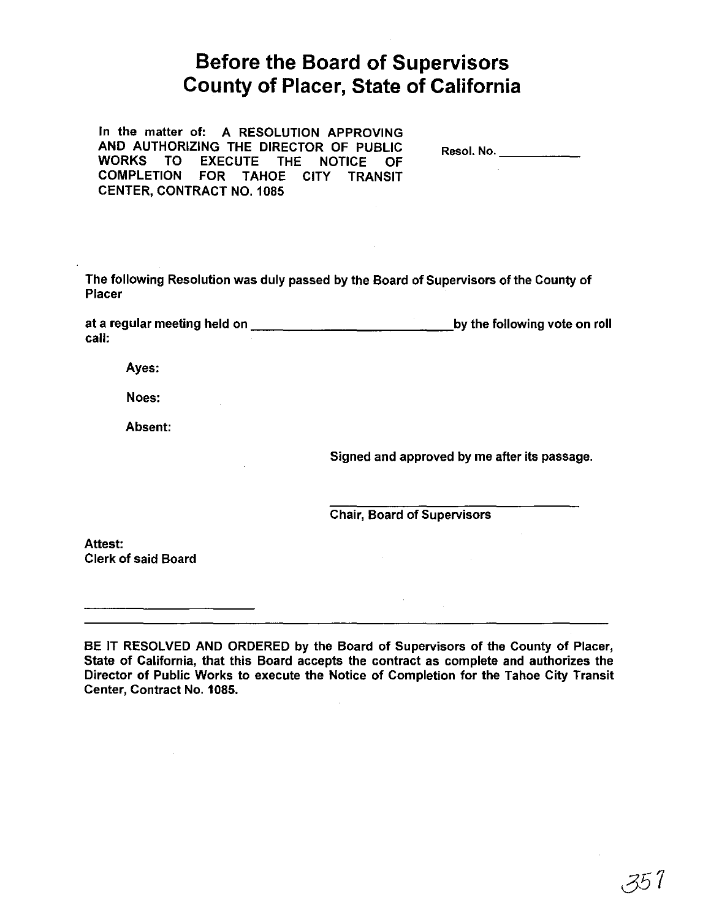# **Before the Board of Supervisors County of Placer, State of California**

In the matter of: A RESOLUTION APPROVING AND AUTHORIZING THE DIRECTOR OF PUBLIC WORKS TO EXECUTE THE NOTICE OF COMPLETION FOR TAHOE CITY TRANSIT CENTER, CONTRACT NO. 1085 Resol. No. \_\_\_\_\_\_\_\_\_\_\_\_\_ The following Resolution was duly passed by the Board of Supervisors of the County of Placer at a regular meeting held on \_\_\_\_\_\_\_\_\_\_\_\_ by the following vote on roll call: Ayes: Noes: Absent: Signed and approved by me after its passage. Chair, Board of Supervisors Attest: Clerk of said Board

BE IT RESOLVED AND ORDERED by the Board of Supervisors of the County of Placer, State of California, that this Board accepts the contract as complete and authorizes the Director of Public Works to execute the Notice of Completion for the Tahoe City Transit Center, Contract No. 1085.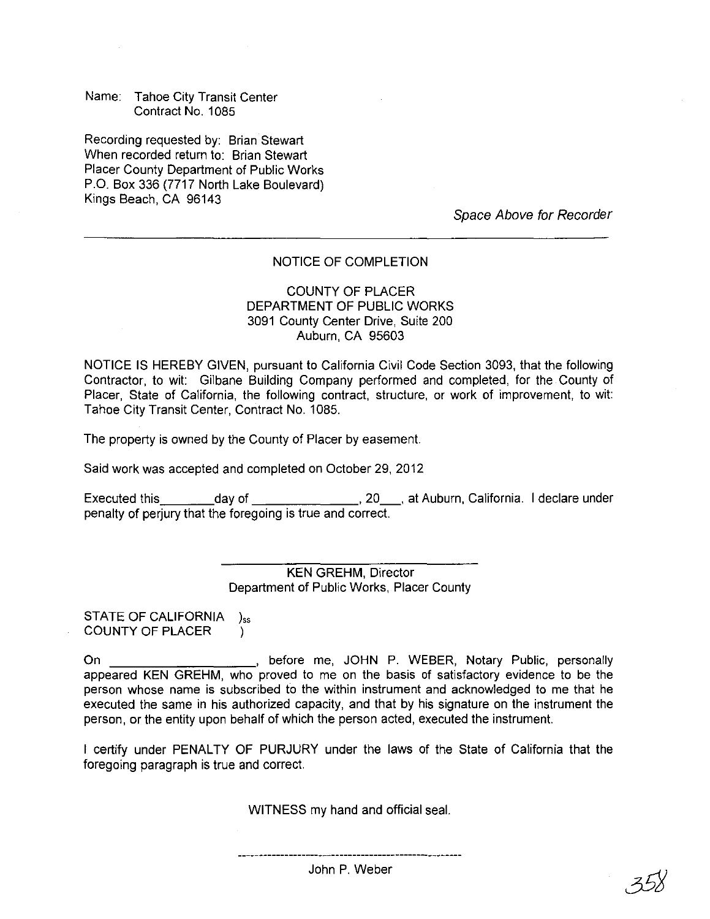Name: Tahoe City Transit Center Contract No. 1085

Recording requested by: Brian Stewart When recorded return to: Brian Stewart Placer County Department of Public Works P.O. Box 336 (7717 North Lake Boulevard) Kings Beach, CA 96143

Space Above for Recorder

#### NOTICE OF COMPLETION

#### COUNTY OF PLACER DEPARTMENT OF PUBLIC WORKS 3091 County Center Drive, Suite 200 Auburn, CA 95603

NOTICE IS HEREBY GIVEN, pursuant to California Civil Code Section 3093, that the following Contractor, to wit: Gilbane Building Company performed and completed, for the County of Placer, State of California, the following contract, structure, or work of improvement, to wit: Tahoe City Transit Center, Contract No. 1085.

The property is owned by the County of Placer by easement.

Said work was accepted and completed on October 29,2012

Executed this  $\qquad \qquad \text{day of} \qquad \qquad \qquad \qquad \text{20}, 20, \text{at Auburn, California}.$  I declare under penalty of perjury that the foregoing is true and correct.

> KEN GREHM, Director Department of Public Works, Placer County

STATE OF CALIFORNIA  $)_{ss}$ COUNTY OF PLACER )

On \_\_\_\_\_\_\_\_\_\_\_\_\_\_\_\_\_\_\_\_\_, before me, JOHN P. WEBER, Notary Public, personally appeared KEN GREHM, who proved to me on the basis of satisfactory evidence to be the person whose name is subscribed to the within instrument and acknowledged to me that he executed the same in his authorized capacity, and that by his signature on the instrument the person, or the entity upon behalf of which the person acted, executed the instrument.

I certify under PENALTY OF PURJURY under the laws of the State of California that the foregoing paragraph is true and correct.

WITNESS my hand and official seal.

John P. Weber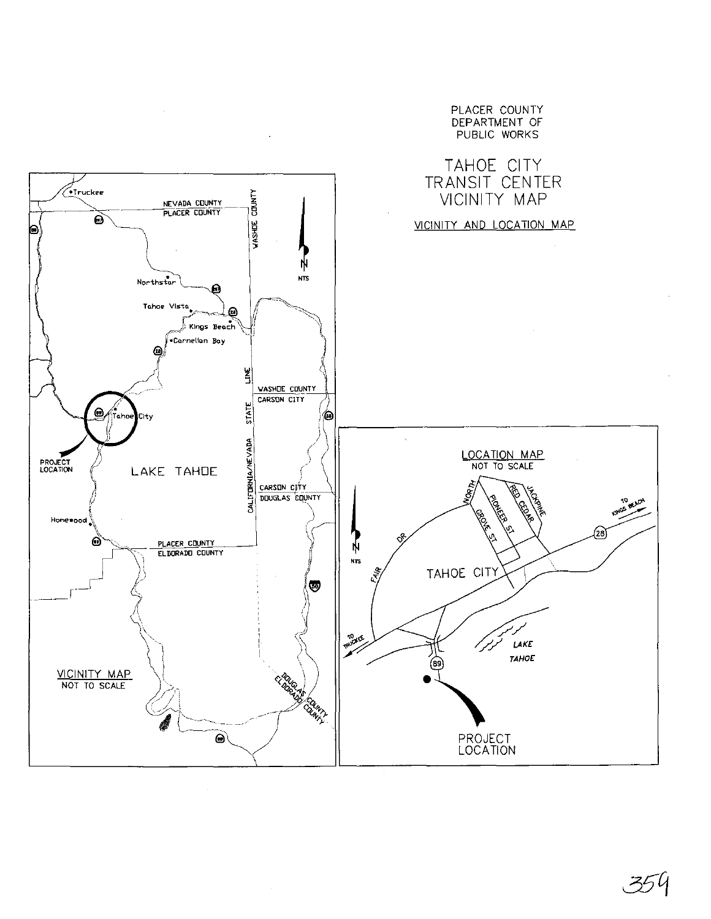

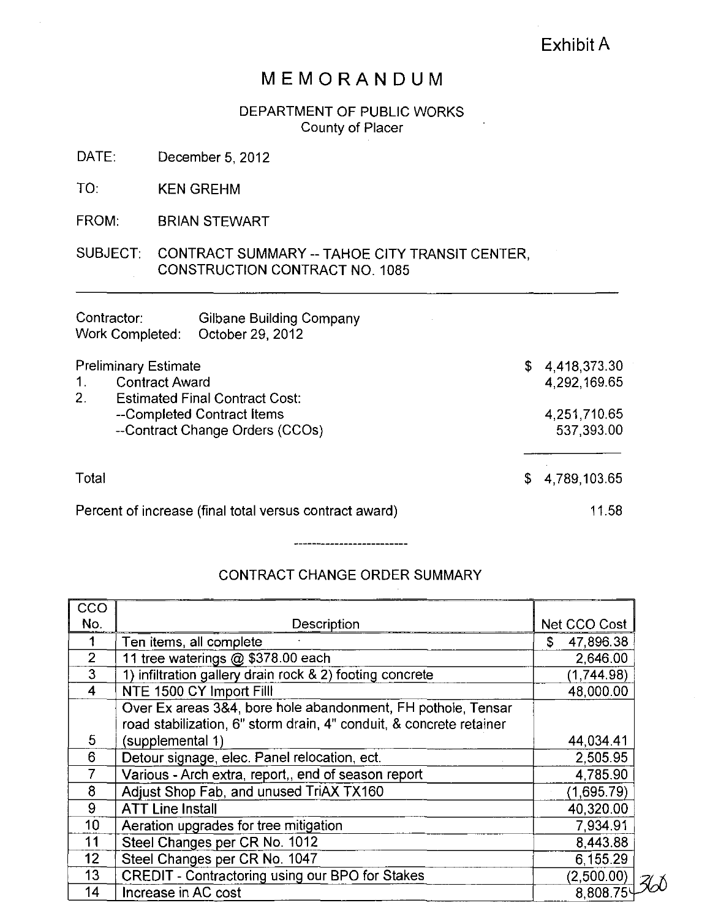### Exhibit A

## **MEMORANDUM**

DEPARTMENT OF PUBLIC WORKS County of Placer

DATE: December 5,2012

TO: KEN GREHM

FROM: BRIAN STEWART

SUBJECT: CONTRACT SUMMARY -- TAHOE CITY TRANSIT CENTER, CONSTRUCTION CONTRACT NO. 1085

| Contractor:<br>Work Completed:                                                                                                                                                        | Gilbane Building Company<br>October 29, 2012 |                            |                              |
|---------------------------------------------------------------------------------------------------------------------------------------------------------------------------------------|----------------------------------------------|----------------------------|------------------------------|
| <b>Preliminary Estimate</b><br>$\mathbf 1$ .<br><b>Contract Award</b><br>2.<br><b>Estimated Final Contract Cost:</b><br>--Completed Contract Items<br>--Contract Change Orders (CCOs) |                                              | S.                         | 4,418,373.30<br>4,292,169.65 |
|                                                                                                                                                                                       |                                              | 4,251,710.65<br>537,393.00 |                              |
| Total                                                                                                                                                                                 |                                              | S                          | 4,789,103.65                 |
| Percent of increase (final total versus contract award)                                                                                                                               |                                              |                            | 11.58                        |

### CONTRACT CHANGE ORDER SUMMARY

-------------------------

| CCO             |                                                                     |                 |  |
|-----------------|---------------------------------------------------------------------|-----------------|--|
| No.             | Description                                                         | Net CCO Cost    |  |
|                 | Ten items, all complete                                             | 47,896.38<br>S. |  |
| $\overline{2}$  | 11 tree waterings @ \$378.00 each                                   | 2,646.00        |  |
| 3               | 1) infiltration gallery drain rock & 2) footing concrete            | (1,744.98)      |  |
| $\overline{4}$  | NTE 1500 CY Import Filll                                            | 48,000.00       |  |
|                 | Over Ex areas 3&4, bore hole abandonment, FH pothole, Tensar        |                 |  |
|                 | road stabilization, 6" storm drain, 4" conduit, & concrete retainer |                 |  |
| 5               | (supplemental 1)                                                    | 44,034.41       |  |
| 6               | Detour signage, elec. Panel relocation, ect.                        | 2,505.95        |  |
|                 | Various - Arch extra, report,, end of season report                 | 4,785.90        |  |
| 8               | Adjust Shop Fab, and unused TriAX TX160                             | (1,695.79)      |  |
| 9               | <b>ATT Line Install</b>                                             | 40,320.00       |  |
| 10 <sub>1</sub> | Aeration upgrades for tree mitigation                               | 7,934.91        |  |
| 11              | Steel Changes per CR No. 1012                                       | 8,443.88        |  |
| 12 <sub>2</sub> | Steel Changes per CR No. 1047                                       | 6,155.29        |  |
| 13              | <b>CREDIT - Contractoring using our BPO for Stakes</b>              | (2,500.00)      |  |
| 14              | Increase in AC cost                                                 | 8,808.75        |  |
|                 |                                                                     |                 |  |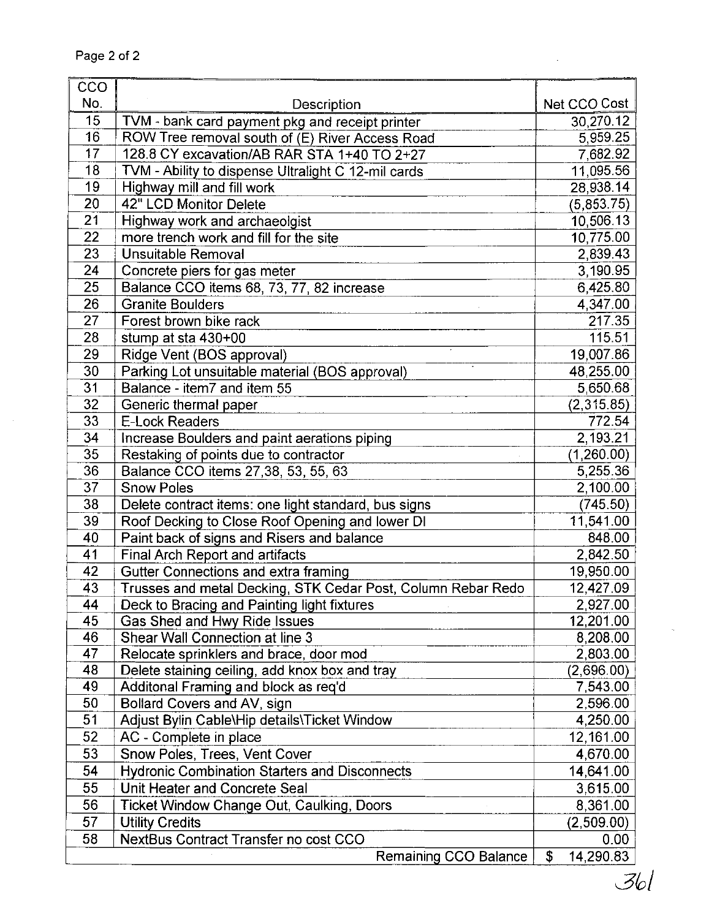| CCO                                                                             |        |
|---------------------------------------------------------------------------------|--------|
|                                                                                 |        |
| No.<br>Net CCO Cost<br>Description                                              |        |
| 15<br>30,270.12<br>TVM - bank card payment pkg and receipt printer              |        |
| 16<br>ROW Tree removal south of (E) River Access Road<br>5,959.25               |        |
| $\overline{17}$<br>128.8 CY excavation/AB RAR STA 1+40 TO 2+27<br>7,682.92      |        |
| 18<br>TVM - Ability to dispense Ultralight C 12-mil cards<br>11,095.56          |        |
| 19<br>Highway mill and fill work<br>28,938.14                                   |        |
| 20<br>42" LCD Monitor Delete<br>(5,853.75)                                      |        |
| 21<br>Highway work and archaeolgist<br>10,506.13                                |        |
| 22<br>more trench work and fill for the site<br>10,775.00                       |        |
| 23<br><b>Unsuitable Removal</b><br>2,839.43                                     |        |
| 24<br>3,190.95<br>Concrete piers for gas meter                                  |        |
| 25<br>Balance CCO items 68, 73, 77, 82 increase<br>6,425.80                     |        |
| 26<br><b>Granite Boulders</b><br>4,347.00                                       |        |
| 27<br>Forest brown bike rack                                                    | 217.35 |
| 28<br>stump at sta 430+00                                                       | 115.51 |
| 29<br>19,007.86<br>Ridge Vent (BOS approval)                                    |        |
| 30<br>Parking Lot unsuitable material (BOS approval)<br>48,255.00               |        |
| 31<br>Balance - item7 and item 55<br>5,650.68                                   |        |
| 32 <sup>2</sup><br>(2,315.85)<br>Generic thermal paper                          |        |
| 33<br><b>E-Lock Readers</b>                                                     | 772.54 |
| $\overline{34}$<br>2,193.21<br>Increase Boulders and paint aerations piping     |        |
| 35<br>Restaking of points due to contractor<br>(1,260.00)                       |        |
| 36<br>Balance CCO items 27,38, 53, 55, 63<br>5,255.36                           |        |
| 37<br><b>Snow Poles</b><br>2,100.00                                             |        |
| 38<br>Delete contract items: one light standard, bus signs<br>(745.50)          |        |
| 39<br>Roof Decking to Close Roof Opening and lower DI<br>11,541.00              |        |
| 40<br>Paint back of signs and Risers and balance<br>848.00                      |        |
| 41<br>2,842.50<br><b>Final Arch Report and artifacts</b>                        |        |
| 42<br>19,950.00<br>Gutter Connections and extra framing                         |        |
| Trusses and metal Decking, STK Cedar Post, Column Rebar Redo<br>43<br>12,427.09 |        |
| 44<br>Deck to Bracing and Painting light fixtures<br>2,927.00                   |        |
| 45<br>12,201.00<br>Gas Shed and Hwy Ride Issues                                 |        |
| 46<br>Shear Wall Connection at line 3<br>8,208.00                               |        |
| 47<br>Relocate sprinklers and brace, door mod<br>2,803.00                       |        |
| 48<br>Delete staining ceiling, add knox box and tray<br>(2,696.00)              |        |
| 49<br>Additonal Framing and block as req'd<br>7,543.00                          |        |
| 50<br>Bollard Covers and AV, sign<br>2,596.00                                   |        |
| 51<br>Adjust Bylin Cable\Hip details\Ticket Window<br>4,250.00                  |        |
| 52<br>AC - Complete in place<br>12,161.00                                       |        |
| 53<br>Snow Poles, Trees, Vent Cover<br>4,670.00                                 |        |
| <b>Hydronic Combination Starters and Disconnects</b><br>54<br>14,641.00         |        |
| 55<br>Unit Heater and Concrete Seal<br>3,615.00                                 |        |
| 56<br>Ticket Window Change Out, Caulking, Doors<br>8,361.00                     |        |
| 57<br><b>Utility Credits</b><br>(2,509.00)                                      |        |
| 58<br>NextBus Contract Transfer no cost CCO                                     | 0.00   |
| $\overline{14,}290.83$<br>\$<br>Remaining CCO Balance                           |        |

361

 $\ddot{\phantom{a}}$